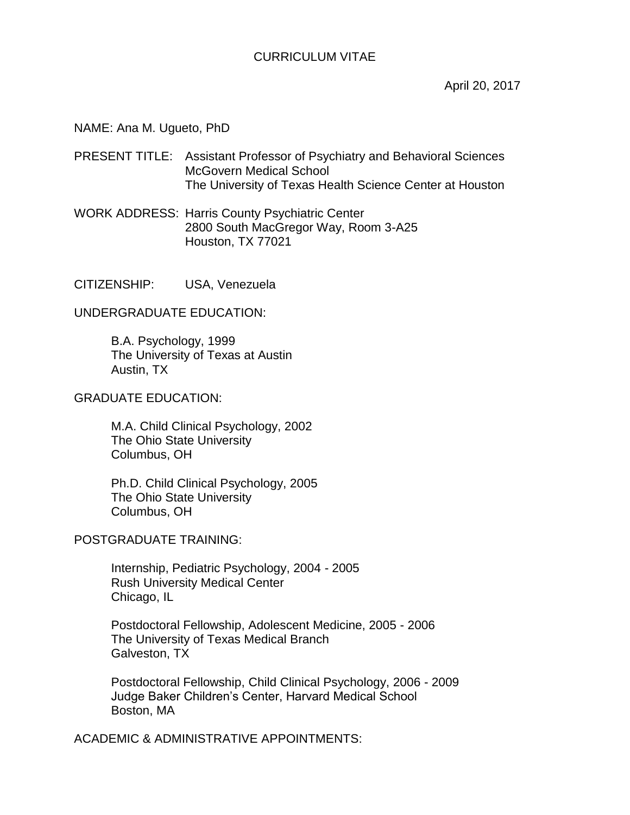# CURRICULUM VITAE

April 20, 2017

#### NAME: Ana M. Ugueto, PhD

PRESENT TITLE: Assistant Professor of Psychiatry and Behavioral Sciences McGovern Medical School The University of Texas Health Science Center at Houston

WORK ADDRESS: Harris County Psychiatric Center 2800 South MacGregor Way, Room 3-A25 Houston, TX 77021

CITIZENSHIP: USA, Venezuela

UNDERGRADUATE EDUCATION:

B.A. Psychology, 1999 The University of Texas at Austin Austin, TX

# GRADUATE EDUCATION:

M.A. Child Clinical Psychology, 2002 The Ohio State University Columbus, OH

Ph.D. Child Clinical Psychology, 2005 The Ohio State University Columbus, OH

### POSTGRADUATE TRAINING:

Internship, Pediatric Psychology, 2004 - 2005 Rush University Medical Center Chicago, IL

Postdoctoral Fellowship, Adolescent Medicine, 2005 - 2006 The University of Texas Medical Branch Galveston, TX

Postdoctoral Fellowship, Child Clinical Psychology, 2006 - 2009 Judge Baker Children's Center, Harvard Medical School Boston, MA

ACADEMIC & ADMINISTRATIVE APPOINTMENTS: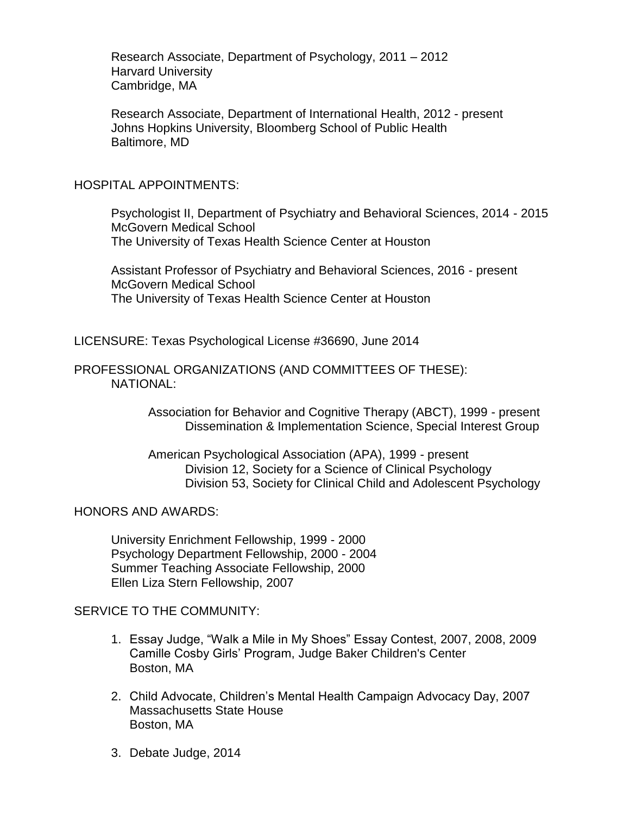Research Associate, Department of Psychology, 2011 – 2012 Harvard University Cambridge, MA

Research Associate, Department of International Health, 2012 - present Johns Hopkins University, Bloomberg School of Public Health Baltimore, MD

# HOSPITAL APPOINTMENTS:

Psychologist II, Department of Psychiatry and Behavioral Sciences, 2014 - 2015 McGovern Medical School The University of Texas Health Science Center at Houston

Assistant Professor of Psychiatry and Behavioral Sciences, 2016 - present McGovern Medical School The University of Texas Health Science Center at Houston

LICENSURE: Texas Psychological License #36690, June 2014

# PROFESSIONAL ORGANIZATIONS (AND COMMITTEES OF THESE): NATIONAL:

Association for Behavior and Cognitive Therapy (ABCT), 1999 - present Dissemination & Implementation Science, Special Interest Group

American Psychological Association (APA), 1999 - present Division 12, Society for a Science of Clinical Psychology Division 53, Society for Clinical Child and Adolescent Psychology

### HONORS AND AWARDS:

University Enrichment Fellowship, 1999 - 2000 Psychology Department Fellowship, 2000 - 2004 Summer Teaching Associate Fellowship, 2000 Ellen Liza Stern Fellowship, 2007

# SERVICE TO THE COMMUNITY:

- 1. Essay Judge, "Walk a Mile in My Shoes" Essay Contest, 2007, 2008, 2009 Camille Cosby Girls' Program, Judge Baker Children's Center Boston, MA
- 2. Child Advocate, Children's Mental Health Campaign Advocacy Day, 2007 Massachusetts State House Boston, MA
- 3. Debate Judge, 2014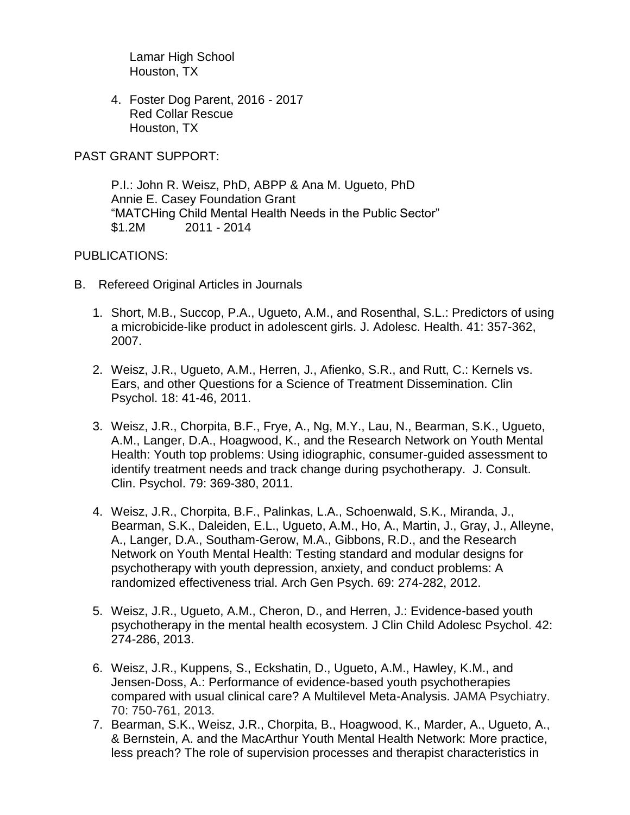Lamar High School Houston, TX

4. Foster Dog Parent, 2016 - 2017 Red Collar Rescue Houston, TX

PAST GRANT SUPPORT:

P.I.: John R. Weisz, PhD, ABPP & Ana M. Ugueto, PhD Annie E. Casey Foundation Grant "MATCHing Child Mental Health Needs in the Public Sector" \$1.2M 2011 - 2014

# PUBLICATIONS:

- B. Refereed Original Articles in Journals
	- 1. Short, M.B., Succop, P.A., Ugueto, A.M., and Rosenthal, S.L.: Predictors of using a microbicide-like product in adolescent girls. J. Adolesc. Health. 41: 357-362, 2007.
	- 2. Weisz, J.R., Ugueto, A.M., Herren, J., Afienko, S.R., and Rutt, C.: Kernels vs. Ears, and other Questions for a Science of Treatment Dissemination. Clin Psychol. 18: 41-46, 2011.
	- 3. Weisz, J.R., Chorpita, B.F., Frye, A., Ng, M.Y., Lau, N., Bearman, S.K., Ugueto, A.M., Langer, D.A., Hoagwood, K., and the Research Network on Youth Mental Health: Youth top problems: Using idiographic, consumer-guided assessment to identify treatment needs and track change during psychotherapy. J. Consult. Clin. Psychol. 79: 369-380, 2011.
	- 4. Weisz, J.R., Chorpita, B.F., Palinkas, L.A., Schoenwald, S.K., Miranda, J., Bearman, S.K., Daleiden, E.L., Ugueto, A.M., Ho, A., Martin, J., Gray, J., Alleyne, A., Langer, D.A., Southam-Gerow, M.A., Gibbons, R.D., and the Research Network on Youth Mental Health: Testing standard and modular designs for psychotherapy with youth depression, anxiety, and conduct problems: A randomized effectiveness trial. Arch Gen Psych. 69: 274-282, 2012.
	- 5. Weisz, J.R., Ugueto, A.M., Cheron, D., and Herren, J.: Evidence-based youth psychotherapy in the mental health ecosystem. J Clin Child Adolesc Psychol. 42: 274-286, 2013.
	- 6. Weisz, J.R., Kuppens, S., Eckshatin, D., Ugueto, A.M., Hawley, K.M., and Jensen-Doss, A.: Performance of evidence-based youth psychotherapies compared with usual clinical care? A Multilevel Meta-Analysis. JAMA Psychiatry. 70: 750-761, 2013.
	- 7. Bearman, S.K., Weisz, J.R., Chorpita, B., Hoagwood, K., Marder, A., Ugueto, A., & Bernstein, A. and the MacArthur Youth Mental Health Network: More practice, less preach? The role of supervision processes and therapist characteristics in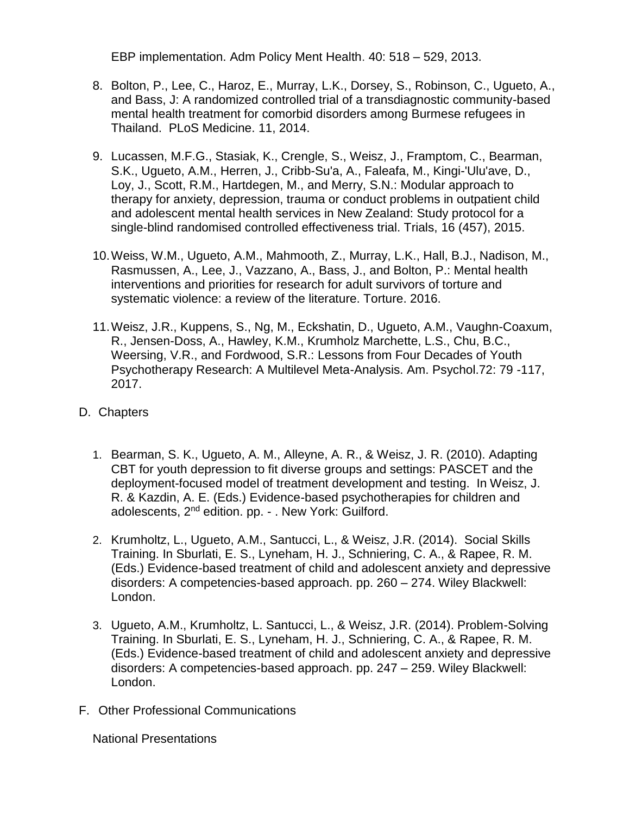EBP implementation. Adm Policy Ment Health. 40: 518 – 529, 2013.

- 8. Bolton, P., Lee, C., Haroz, E., Murray, L.K., Dorsey, S., Robinson, C., Ugueto, A., and Bass, J: A randomized controlled trial of a transdiagnostic community-based mental health treatment for comorbid disorders among Burmese refugees in Thailand. PLoS Medicine. 11, 2014.
- 9. Lucassen, M.F.G., Stasiak, K., Crengle, S., Weisz, J., Framptom, C., Bearman, S.K., Ugueto, A.M., Herren, J., Cribb-Su'a, A., Faleafa, M., Kingi-'Ulu'ave, D., Loy, J., Scott, R.M., Hartdegen, M., and Merry, S.N.: Modular approach to therapy for anxiety, depression, trauma or conduct problems in outpatient child and adolescent mental health services in New Zealand: Study protocol for a single-blind randomised controlled effectiveness trial. Trials, 16 (457), 2015.
- 10.Weiss, W.M., Ugueto, A.M., Mahmooth, Z., Murray, L.K., Hall, B.J., Nadison, M., Rasmussen, A., Lee, J., Vazzano, A., Bass, J., and Bolton, P.: Mental health interventions and priorities for research for adult survivors of torture and systematic violence: a review of the literature. Torture. 2016.
- 11.Weisz, J.R., Kuppens, S., Ng, M., Eckshatin, D., Ugueto, A.M., Vaughn-Coaxum, R., Jensen-Doss, A., Hawley, K.M., Krumholz Marchette, L.S., Chu, B.C., Weersing, V.R., and Fordwood, S.R.: Lessons from Four Decades of Youth Psychotherapy Research: A Multilevel Meta-Analysis. Am. Psychol.72: 79 -117, 2017.
- D. Chapters
	- 1. Bearman, S. K., Ugueto, A. M., Alleyne, A. R., & Weisz, J. R. (2010). Adapting CBT for youth depression to fit diverse groups and settings: PASCET and the deployment-focused model of treatment development and testing. In Weisz, J. R. & Kazdin, A. E. (Eds.) Evidence-based psychotherapies for children and adolescents, 2<sup>nd</sup> edition. pp. - . New York: Guilford.
	- 2. Krumholtz, L., Ugueto, A.M., Santucci, L., & Weisz, J.R. (2014). Social Skills Training. In Sburlati, E. S., Lyneham, H. J., Schniering, C. A., & Rapee, R. M. (Eds.) Evidence-based treatment of child and adolescent anxiety and depressive disorders: A competencies-based approach. pp. 260 – 274. Wiley Blackwell: London.
	- 3. Ugueto, A.M., Krumholtz, L. Santucci, L., & Weisz, J.R. (2014). Problem-Solving Training. In Sburlati, E. S., Lyneham, H. J., Schniering, C. A., & Rapee, R. M. (Eds.) Evidence-based treatment of child and adolescent anxiety and depressive disorders: A competencies-based approach. pp. 247 – 259. Wiley Blackwell: London.
- F. Other Professional Communications

National Presentations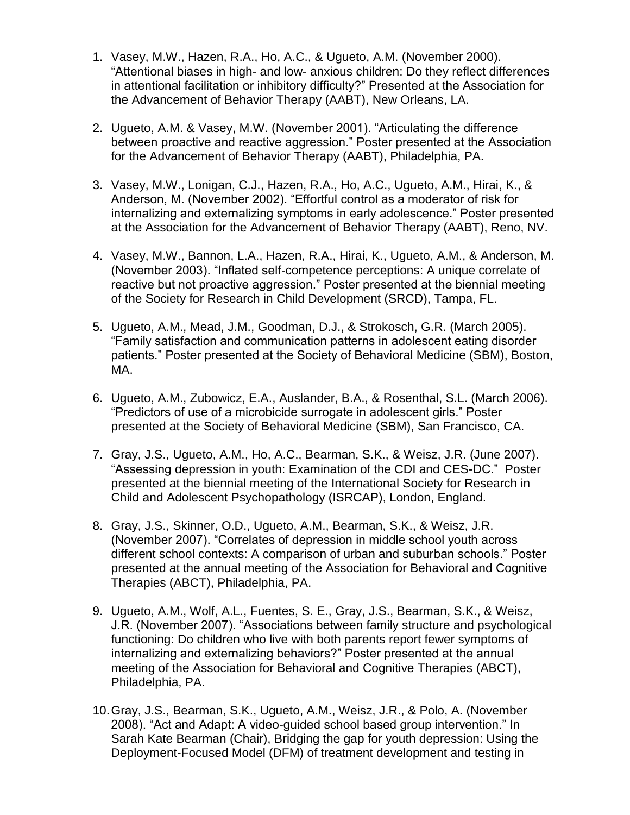- 1. Vasey, M.W., Hazen, R.A., Ho, A.C., & Ugueto, A.M. (November 2000). "Attentional biases in high- and low- anxious children: Do they reflect differences in attentional facilitation or inhibitory difficulty?" Presented at the Association for the Advancement of Behavior Therapy (AABT), New Orleans, LA.
- 2. Ugueto, A.M. & Vasey, M.W. (November 2001). "Articulating the difference between proactive and reactive aggression." Poster presented at the Association for the Advancement of Behavior Therapy (AABT), Philadelphia, PA.
- 3. Vasey, M.W., Lonigan, C.J., Hazen, R.A., Ho, A.C., Ugueto, A.M., Hirai, K., & Anderson, M. (November 2002). "Effortful control as a moderator of risk for internalizing and externalizing symptoms in early adolescence." Poster presented at the Association for the Advancement of Behavior Therapy (AABT), Reno, NV.
- 4. Vasey, M.W., Bannon, L.A., Hazen, R.A., Hirai, K., Ugueto, A.M., & Anderson, M. (November 2003). "Inflated self-competence perceptions: A unique correlate of reactive but not proactive aggression." Poster presented at the biennial meeting of the Society for Research in Child Development (SRCD), Tampa, FL.
- 5. Ugueto, A.M., Mead, J.M., Goodman, D.J., & Strokosch, G.R. (March 2005). "Family satisfaction and communication patterns in adolescent eating disorder patients." Poster presented at the Society of Behavioral Medicine (SBM), Boston, MA.
- 6. Ugueto, A.M., Zubowicz, E.A., Auslander, B.A., & Rosenthal, S.L. (March 2006). "Predictors of use of a microbicide surrogate in adolescent girls." Poster presented at the Society of Behavioral Medicine (SBM), San Francisco, CA.
- 7. Gray, J.S., Ugueto, A.M., Ho, A.C., Bearman, S.K., & Weisz, J.R. (June 2007). "Assessing depression in youth: Examination of the CDI and CES-DC." Poster presented at the biennial meeting of the International Society for Research in Child and Adolescent Psychopathology (ISRCAP), London, England.
- 8. Gray, J.S., Skinner, O.D., Ugueto, A.M., Bearman, S.K., & Weisz, J.R. (November 2007). "Correlates of depression in middle school youth across different school contexts: A comparison of urban and suburban schools." Poster presented at the annual meeting of the Association for Behavioral and Cognitive Therapies (ABCT), Philadelphia, PA.
- 9. Ugueto, A.M., Wolf, A.L., Fuentes, S. E., Gray, J.S., Bearman, S.K., & Weisz, J.R. (November 2007). "Associations between family structure and psychological functioning: Do children who live with both parents report fewer symptoms of internalizing and externalizing behaviors?" Poster presented at the annual meeting of the Association for Behavioral and Cognitive Therapies (ABCT), Philadelphia, PA.
- 10.Gray, J.S., Bearman, S.K., Ugueto, A.M., Weisz, J.R., & Polo, A. (November 2008). "Act and Adapt: A video-guided school based group intervention." In Sarah Kate Bearman (Chair), Bridging the gap for youth depression: Using the Deployment-Focused Model (DFM) of treatment development and testing in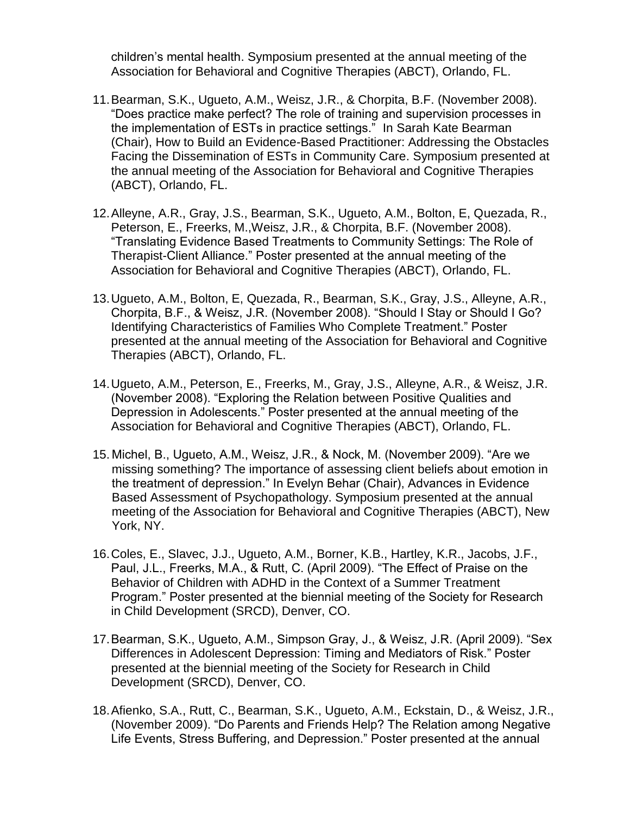children's mental health. Symposium presented at the annual meeting of the Association for Behavioral and Cognitive Therapies (ABCT), Orlando, FL.

- 11.Bearman, S.K., Ugueto, A.M., Weisz, J.R., & Chorpita, B.F. (November 2008). "Does practice make perfect? The role of training and supervision processes in the implementation of ESTs in practice settings." In Sarah Kate Bearman (Chair), How to Build an Evidence-Based Practitioner: Addressing the Obstacles Facing the Dissemination of ESTs in Community Care. Symposium presented at the annual meeting of the Association for Behavioral and Cognitive Therapies (ABCT), Orlando, FL.
- 12.Alleyne, A.R., Gray, J.S., Bearman, S.K., Ugueto, A.M., Bolton, E, Quezada, R., Peterson, E., Freerks, M.,Weisz, J.R., & Chorpita, B.F. (November 2008). "Translating Evidence Based Treatments to Community Settings: The Role of Therapist-Client Alliance." Poster presented at the annual meeting of the Association for Behavioral and Cognitive Therapies (ABCT), Orlando, FL.
- 13.Ugueto, A.M., Bolton, E, Quezada, R., Bearman, S.K., Gray, J.S., Alleyne, A.R., Chorpita, B.F., & Weisz, J.R. (November 2008). "Should I Stay or Should I Go? Identifying Characteristics of Families Who Complete Treatment." Poster presented at the annual meeting of the Association for Behavioral and Cognitive Therapies (ABCT), Orlando, FL.
- 14.Ugueto, A.M., Peterson, E., Freerks, M., Gray, J.S., Alleyne, A.R., & Weisz, J.R. (November 2008). "Exploring the Relation between Positive Qualities and Depression in Adolescents." Poster presented at the annual meeting of the Association for Behavioral and Cognitive Therapies (ABCT), Orlando, FL.
- 15. Michel, B., Ugueto, A.M., Weisz, J.R., & Nock, M. (November 2009). "Are we missing something? The importance of assessing client beliefs about emotion in the treatment of depression." In Evelyn Behar (Chair), Advances in Evidence Based Assessment of Psychopathology. Symposium presented at the annual meeting of the Association for Behavioral and Cognitive Therapies (ABCT), New York, NY.
- 16.Coles, E., Slavec, J.J., Ugueto, A.M., Borner, K.B., Hartley, K.R., Jacobs, J.F., Paul, J.L., Freerks, M.A., & Rutt, C. (April 2009). "The Effect of Praise on the Behavior of Children with ADHD in the Context of a Summer Treatment Program." Poster presented at the biennial meeting of the Society for Research in Child Development (SRCD), Denver, CO.
- 17.Bearman, S.K., Ugueto, A.M., Simpson Gray, J., & Weisz, J.R. (April 2009). "Sex Differences in Adolescent Depression: Timing and Mediators of Risk." Poster presented at the biennial meeting of the Society for Research in Child Development (SRCD), Denver, CO.
- 18.Afienko, S.A., Rutt, C., Bearman, S.K., Ugueto, A.M., Eckstain, D., & Weisz, J.R., (November 2009). "Do Parents and Friends Help? The Relation among Negative Life Events, Stress Buffering, and Depression." Poster presented at the annual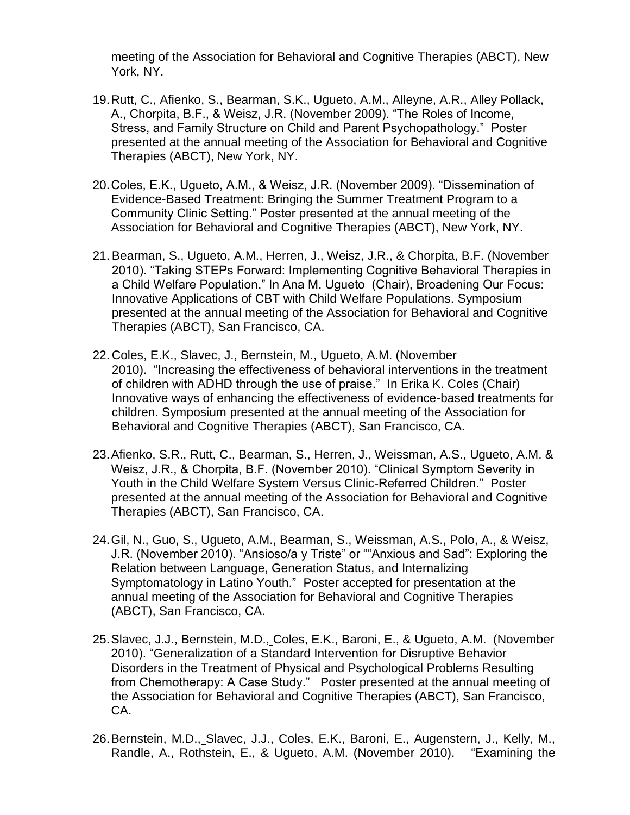meeting of the Association for Behavioral and Cognitive Therapies (ABCT), New York, NY.

- 19.Rutt, C., Afienko, S., Bearman, S.K., Ugueto, A.M., Alleyne, A.R., Alley Pollack, A., Chorpita, B.F., & Weisz, J.R. (November 2009). "The Roles of Income, Stress, and Family Structure on Child and Parent Psychopathology." Poster presented at the annual meeting of the Association for Behavioral and Cognitive Therapies (ABCT), New York, NY.
- 20.Coles, E.K., Ugueto, A.M., & Weisz, J.R. (November 2009). "Dissemination of Evidence-Based Treatment: Bringing the Summer Treatment Program to a Community Clinic Setting." Poster presented at the annual meeting of the Association for Behavioral and Cognitive Therapies (ABCT), New York, NY.
- 21.Bearman, S., Ugueto, A.M., Herren, J., Weisz, J.R., & Chorpita, B.F. (November 2010). "Taking STEPs Forward: Implementing Cognitive Behavioral Therapies in a Child Welfare Population." In Ana M. Ugueto (Chair), Broadening Our Focus: Innovative Applications of CBT with Child Welfare Populations. Symposium presented at the annual meeting of the Association for Behavioral and Cognitive Therapies (ABCT), San Francisco, CA.
- 22. Coles, E.K., Slavec, J., Bernstein, M., Ugueto, A.M. (November 2010). "Increasing the effectiveness of behavioral interventions in the treatment of children with ADHD through the use of praise." In Erika K. Coles (Chair) Innovative ways of enhancing the effectiveness of evidence-based treatments for children. Symposium presented at the annual meeting of the Association for Behavioral and Cognitive Therapies (ABCT), San Francisco, CA.
- 23.Afienko, S.R., Rutt, C., Bearman, S., Herren, J., Weissman, A.S., Ugueto, A.M. & Weisz, J.R., & Chorpita, B.F. (November 2010). "Clinical Symptom Severity in Youth in the Child Welfare System Versus Clinic-Referred Children." Poster presented at the annual meeting of the Association for Behavioral and Cognitive Therapies (ABCT), San Francisco, CA.
- 24.Gil, N., Guo, S., Ugueto, A.M., Bearman, S., Weissman, A.S., Polo, A., & Weisz, J.R. (November 2010). "Ansioso/a y Triste" or ""Anxious and Sad": Exploring the Relation between Language, Generation Status, and Internalizing Symptomatology in Latino Youth." Poster accepted for presentation at the annual meeting of the Association for Behavioral and Cognitive Therapies (ABCT), San Francisco, CA.
- 25.Slavec, J.J., Bernstein, M.D., Coles, E.K., Baroni, E., & Ugueto, A.M. (November 2010). "Generalization of a Standard Intervention for Disruptive Behavior Disorders in the Treatment of Physical and Psychological Problems Resulting from Chemotherapy: A Case Study." Poster presented at the annual meeting of the Association for Behavioral and Cognitive Therapies (ABCT), San Francisco, CA.
- 26.Bernstein, M.D., Slavec, J.J., Coles, E.K., Baroni, E., Augenstern, J., Kelly, M., Randle, A., Rothstein, E., & Ugueto, A.M. (November 2010). "Examining the